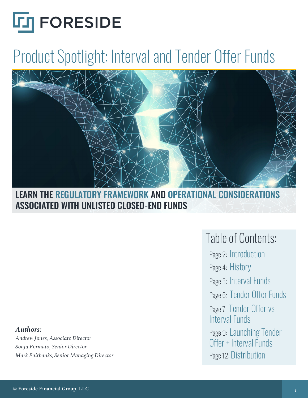

# Product Spotlight: Interval and Tender Offer Funds



LEARN THE REGULATORY FRAMEWORK AND OPERATIONAL CONSIDERATIONS ASSOCIATED WITH UNLISTED CLOSED-END FUNDS

#### *Authors:*

*Andrew Jones, Associate Director Sonja Formato, Senior Director Mark Fairbanks, Senior Managing Director*

### Table of Contents:

Page 2: Introduction Page 4: History Page 5: Interval Funds Page 6: Tender Offer Funds Page 7: Tender Offer vs Interval Funds Page 9: Launching Tender Offer + Interval Funds Page 12: Distribution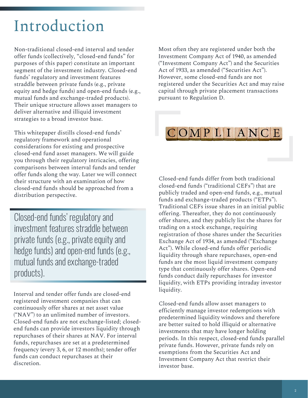# Introduction

Non-traditional closed-end interval and tender offer funds (collectively, "closed-end funds" for purposes of this paper) constitute an important segment of the investment industry. Closed-end funds' regulatory and investment features straddle between private funds (e.g., private equity and hedge funds) and open-end funds (e.g., mutual funds and exchange-traded products). Their unique structure allows asset managers to deliver alternative and illiquid investment strategies to a broad investor base.

This whitepaper distills closed-end funds' regulatory framework and operational considerations for existing and prospective closed-end fund asset managers. We will guide you through their regulatory intricacies, offering comparisons between interval funds and tender offer funds along the way. Later we will connect their structure with an examination of how closed-end funds should be approached from a distribution perspective.

Closed-end funds' regulatory and investment features straddle between private funds (e.g., private equity and hedge funds) and open-end funds (e.g., mutual funds and exchange-traded products).

Interval and tender offer funds are closed-end registered investment companies that can continuously offer shares at net asset value ("NAV") to an unlimited number of investors. Closed-end funds are not exchange-listed; closedend funds can provide investors liquidity through repurchases of their shares at NAV. For interval funds, repurchases are set at a predetermined frequency (every 3, 6, or 12 months); tender offer funds can conduct repurchases at their discretion.

Most often they are registered under both the Investment Company Act of 1940, as amended ("Investment Company Act") and the Securities Act of 1933, as amended ("Securities Act"). However, some closed-end funds are not registered under the Securities Act and may raise capital through private placement transactions pursuant to Regulation D.

### COMPLIANCE

Closed-end funds differ from both traditional closed-end funds ("traditional CEFs") that are publicly traded and open-end funds, e.g., mutual funds and exchange-traded products ("ETPs"). Traditional CEFs issue shares in an initial public offering. Thereafter, they do not continuously offer shares, and they publicly list the shares for trading on a stock exchange, requiring registration of those shares under the Securities Exchange Act of 1934, as amended ("Exchange Act"). While closed-end funds offer periodic liquidity through share repurchases, open-end funds are the most liquid investment company type that continuously offer shares. Open-end funds conduct daily repurchases for investor liquidity, with ETPs providing intraday investor liquidity.

Closed-end funds allow asset managers to efficiently manage investor redemptions with predetermined liquidity windows and therefore are better suited to hold illiquid or alternative investments that may have longer holding periods. In this respect, closed-end funds parallel private funds. However, private funds rely on exemptions from the Securities Act and Investment Company Act that restrict their investor base.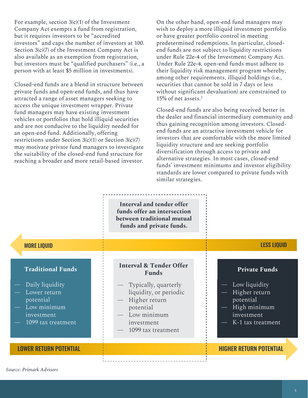For example, section  $3(c)(1)$  of the Investment Company Act exempts a fund from registration, but it requires investors to be "accredited investors" and caps the number of investors at 100. Section 3(c)(7) of the Investment Company Act is also available as an exemption from registration, but investors must be "qualified purchasers" (i.e., a person with at least \$5 million in investments).

Closed-end funds are a blend in structure between private funds and open-end funds, and thus have attracted a range of asset managers seeking to access the unique investment wrapper. Private fund managers may have existing investment vehicles or portfolios that hold illiquid securities and are not conducive to the liquidity needed for an open-end fund. Additionally, offering restrictions under Section  $3(c)(1)$  or Section  $3(c)(7)$ may motivate private fund managers to investigate the suitability of the closed-end fund structure for reaching a broader and more retail-based investor.

On the other hand, open-end fund managers may wish to deploy a more illiquid investment portfolio or have greater portfolio control in meeting predetermined redemptions. In particular, closedend funds are not subject to liquidity restrictions under Rule 22e-4 of the Investment Company Act. Under Rule 22e-4, open-end funds must adhere to their liquidity risk management program whereby, among other requirements, illiquid holdings (i.e., securities that cannot be sold in 7 days or less without significant devaluation) are constrained to 15% of net assets.1

Closed-end funds are also being received better in the dealer and financial intermediary community and thus gaining recognition among investors. Closedend funds are an attractive investment vehicle for investors that are comfortable with the more limited liquidity structure and are seeking portfolio diversification through access to private and alternative strategies. In most cases, closed-end funds' investment minimums and investor eligibility standards are lower compared to private funds with similar strategies.

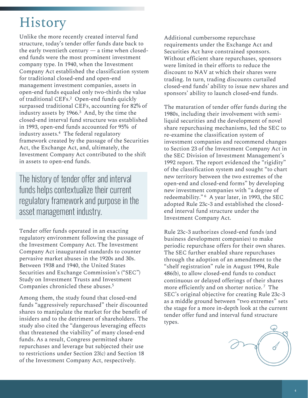### History

Unlike the more recently created interval fund structure, today's tender offer funds date back to the early twentieth century — a time when closedend funds were the most prominent investment company type. In 1940, when the Investment Company Act established the classification system for traditional closed-end and open-end management investment companies, assets in open-end funds equaled only two-thirds the value of traditional CEFs.2 Open-end funds quickly surpassed traditional CEFs, accounting for 82% of industry assets by 1966.3 And, by the time the closed-end interval fund structure was established in 1993, open-end funds accounted for 95% of industry assets.<sup>4</sup> The federal regulatory framework created by the passage of the Securities Act, the Exchange Act, and, ultimately, the Investment Company Act contributed to the shift in assets to open-end funds.

The history of tender offer and interval funds helps contextualize their current regulatory framework and purpose in the asset management industry.

Tender offer funds operated in an exacting regulatory environment following the passage of the Investment Company Act. The Investment Company Act inaugurated standards to counter pervasive market abuses in the 1920s and 30s. Between 1938 and 1940, the United States Securities and Exchange Commission's ("SEC") Study on Investment Trusts and Investment Companies chronicled these abuses.5

Among them, the study found that closed-end funds "aggressively repurchased" their discounted shares to manipulate the market for the benefit of insiders and to the detriment of shareholders. The study also cited the "dangerous leveraging effects that threatened the viability" of many closed-end funds. As a result, Congress permitted share repurchases and leverage but subjected their use to restrictions under Section 23(c) and Section 18 of the Investment Company Act, respectively.

Additional cumbersome repurchase requirements under the Exchange Act and Securities Act have constrained sponsors. Without efficient share repurchases, sponsors were limited in their efforts to reduce the discount to NAV at which their shares were trading. In turn, trading discounts curtailed closed-end funds' ability to issue new shares and sponsors' ability to launch closed-end funds.

The maturation of tender offer funds during the 1980s, including their involvement with semiliquid securities and the development of novel share repurchasing mechanisms, led the SEC to re-examine the classification system of investment companies and recommend changes to Section 23 of the Investment Company Act in the SEC Division of Investment Management's 1992 report. The report evidenced the "rigidity" of the classification system and sought "to chart new territory between the two extremes of the open-end and closed-end forms" by developing new investment companies with "a degree of redeemability." <sup>6</sup> A year later, in 1993, the SEC adopted Rule 23c-3 and established the closedend interval fund structure under the Investment Company Act.

Rule 23c-3 authorizes closed-end funds (and business development companies) to make periodic repurchase offers for their own shares. The SEC further enabled share repurchases through the adoption of an amendment to the "shelf registration" rule in August 1994, Rule 486(b), to allow closed-end funds to conduct continuous or delayed offerings of their shares more efficiently and on shorter notice.<sup>7</sup> The SEC's original objective for creating Rule 23c-3 as a middle ground between "two extremes" sets the stage for a more in-depth look at the current tender offer fund and interval fund structure types.

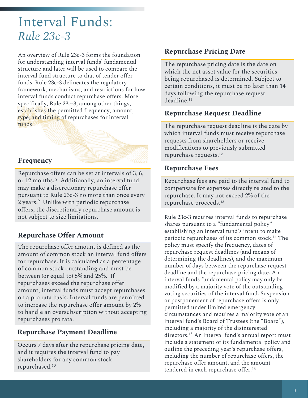### Interval Funds: *Rule 23c-3*

An overview of Rule 23c-3 forms the foundation for understanding interval funds' fundamental structure and later will be used to compare the interval fund structure to that of tender offer funds. Rule 23c-3 delineates the regulatory framework, mechanisms, and restrictions for how interval funds conduct repurchase offers. More specifically, Rule 23c-3, among other things, establishes the permitted frequency, amount, type, and timing of repurchases for interval funds.

#### **Frequency**

Repurchase offers can be set at intervals of 3, 6, or 12 months.<sup>8</sup> Additionally, an interval fund may make a discretionary repurchase offer pursuant to Rule 23c-3 no more than once every 2 years.9 Unlike with periodic repurchase offers, the discretionary repurchase amount is not subject to size limitations.

#### **Repurchase Offer Amount**

The repurchase offer amount is defined as the amount of common stock an interval fund offers for repurchase. It is calculated as a percentage of common stock outstanding and must be between (or equal to) 5% and 25%. If repurchases exceed the repurchase offer amount, interval funds must accept repurchases on a pro rata basis. Interval funds are permitted to increase the repurchase offer amount by 2% to handle an oversubscription without accepting repurchases pro rata.

#### **Repurchase Payment Deadline**

Occurs 7 days after the repurchase pricing date, and it requires the interval fund to pay shareholders for any common stock repurchased.10

#### **Repurchase Pricing Date**

The repurchase pricing date is the date on which the net asset value for the securities being repurchased is determined. Subject to certain conditions, it must be no later than 14 days following the repurchase request deadline.11

#### **Repurchase Request Deadline**

The repurchase request deadline is the date by which interval funds must receive repurchase requests from shareholders or receive modifications to previously submitted repurchase requests.12

#### **Repurchase Fees**

Repurchase fees are paid to the interval fund to compensate for expenses directly related to the repurchase. It may not exceed 2% of the repurchase proceeds.13

Rule 23c-3 requires interval funds to repurchase shares pursuant to a "fundamental policy" establishing an interval fund's intent to make periodic repurchases of its common stock.14 The policy must specify the frequency, dates of repurchase request deadlines (and means of determining the deadlines), and the maximum number of days between the repurchase request deadline and the repurchase pricing date. An interval funds fundamental policy may only be modified by a majority vote of the outstanding voting securities of the interval fund. Suspension or postponement of repurchase offers is only permitted under limited emergency circumstances and requires a majority vote of an interval fund's Board of Trustees (the "Board"), including a majority of the disinterested directors.15 An interval fund's annual report must include a statement of its fundamental policy and outline the preceding year's repurchase offers, including the number of repurchase offers, the repurchase offer amount, and the amount tendered in each repurchase offer.16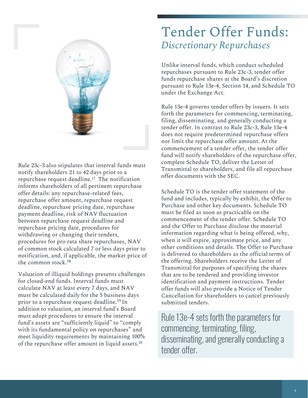

Rule 23c-3 also stipulates that interval funds must notify shareholders 21 to 42 days prior to a repurchase request deadline.17 The notification informs shareholders of all pertinent repurchase offer details: any repurchase-related fees, repurchase offer amount, repurchase request deadline, repurchase pricing date, repurchase payment deadline, risk of NAV fluctuation between repurchase request deadline and repurchase pricing date, procedures for withdrawing or changing their tenders, procedures for pro rata share repurchases, NAV of common stock calculated 7 or less days prior to notification, and, if applicable, the market price of the common stock.18

Valuation of illiquid holdings presents challenges for closed-end funds. Interval funds must calculate NAV at least every 7 days, and NAV must be calculated daily for the 5 business days prior to a repurchase request deadline.19 In addition to valuation, an interval fund's Board must adopt procedures to ensure the interval fund's assets are "sufficiently liquid" to "comply with its fundamental policy on repurchases" and meet liquidity requirements by maintaining 100% of the repurchase offer amount in liquid assets.20

### Tender Offer Funds: *Discretionary Repurchases*

Unlike interval funds, which conduct scheduled repurchases pursuant to Rule 23c-3, tender offer funds repurchase shares at the Board's discretion pursuant to Rule 13e-4, Section 14, and Schedule TO under the Exchange Act.

Rule 13e-4 governs tender offers by issuers. It sets forth the parameters for commencing, terminating, filing, disseminating, and generally conducting a tender offer. In contrast to Rule 23c-3, Rule 13e-4 does not require predetermined repurchase offers nor limit the repurchase offer amount. At the commencement of a tender offer, the tender offer fund will notify shareholders of the repurchase offer, complete Schedule TO, deliver the Letter of Transmittal to shareholders, and file all repurchase offer documents with the SEC.

Schedule TO is the tender offer statement of the fund and includes, typically by exhibit, the Offer to Purchase and other key documents. Schedule TO must be filed as soon as practicable on the commencement of the tender offer. Schedule TO and the Offer to Purchase disclose the material information regarding what is being offered, why, when it will expire, approximate price, and any other conditions and details. The Offer to Purchase is delivered to shareholders as the official terms of the offering. Shareholders receive the Letter of Transmittal for purposes of specifying the shares that are to be tendered and providing investor identification and payment instructions. Tender offer funds will also provide a Notice of Tender Cancellation for shareholders to cancel previously submitted tenders.

Rule 13e-4 sets forth the parameters for commencing, terminating, filing, disseminating, and generally conducting a tender offer.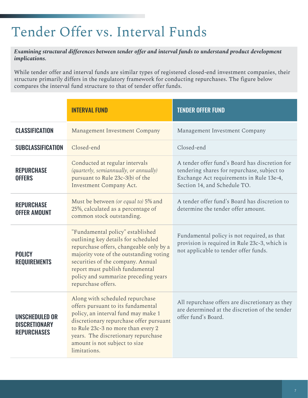# Tender Offer vs. Interval Funds

*Examining structural differences between tender offer and interval funds to understand product development implications.* 

While tender offer and interval funds are similar types of registered closed-end investment companies, their structure primarily differs in the regulatory framework for conducting repurchases. The figure below compares the interval fund structure to that of tender offer funds.

|                                                                     | <b>INTERVAL FUND</b>                                                                                                                                                                                                                                                                                                        | <b>TENDER OFFER FUND</b>                                                                                                              |  |
|---------------------------------------------------------------------|-----------------------------------------------------------------------------------------------------------------------------------------------------------------------------------------------------------------------------------------------------------------------------------------------------------------------------|---------------------------------------------------------------------------------------------------------------------------------------|--|
| <b>CLASSIFICATION</b>                                               | Management Investment Company                                                                                                                                                                                                                                                                                               | Management Investment Company                                                                                                         |  |
| <b>SUBCLASSIFICATION</b>                                            | Closed-end                                                                                                                                                                                                                                                                                                                  | Closed-end                                                                                                                            |  |
| <b>REPURCHASE</b><br><b>OFFERS</b>                                  | A tender offer fund's Board has discretion for<br>Conducted at regular intervals<br>(quarterly, semiannually, or annually)<br>tendering shares for repurchase, subject to<br>pursuant to Rule 23c-3(b) of the<br>Exchange Act requirements in Rule 13e-4,<br><b>Investment Company Act.</b><br>Section 14, and Schedule TO. |                                                                                                                                       |  |
| <b>REPURCHASE</b><br><b>OFFER AMOUNT</b>                            | Must be between (or equal to) 5% and<br>25%, calculated as a percentage of<br>common stock outstanding.                                                                                                                                                                                                                     | A tender offer fund's Board has discretion to<br>determine the tender offer amount.                                                   |  |
| <b>POLICY</b><br><b>REQUIREMENTS</b>                                | "Fundamental policy" established<br>outlining key details for scheduled<br>repurchase offers, changeable only by a<br>majority vote of the outstanding voting<br>securities of the company. Annual<br>report must publish fundamental<br>policy and summarize preceding years<br>repurchase offers.                         | Fundamental policy is not required, as that<br>provision is required in Rule 23c-3, which is<br>not applicable to tender offer funds. |  |
| <b>UNSCHEDULED OR</b><br><b>DISCRETIONARY</b><br><b>REPURCHASES</b> | Along with scheduled repurchase<br>offers pursuant to its fundamental<br>policy, an interval fund may make 1<br>discretionary repurchase offer pursuant<br>to Rule 23c-3 no more than every 2<br>years. The discretionary repurchase<br>amount is not subject to size<br>limitations.                                       | All repurchase offers are discretionary as they<br>are determined at the discretion of the tender<br>offer fund's Board.              |  |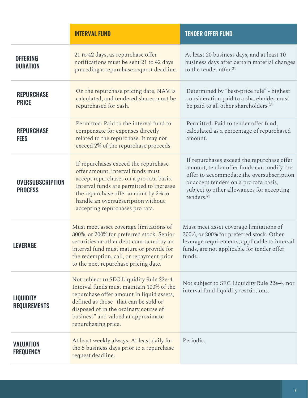|                                           | <b>INTERVAL FUND</b>                                                                                                                                                                                                                                                              | <b>TENDER OFFER FUND</b>                                                                                                                                                                                                                              |  |
|-------------------------------------------|-----------------------------------------------------------------------------------------------------------------------------------------------------------------------------------------------------------------------------------------------------------------------------------|-------------------------------------------------------------------------------------------------------------------------------------------------------------------------------------------------------------------------------------------------------|--|
| <b>OFFERING</b><br><b>DURATION</b>        | 21 to 42 days, as repurchase offer<br>notifications must be sent 21 to 42 days<br>preceding a repurchase request deadline.                                                                                                                                                        | At least 20 business days, and at least 10<br>business days after certain material changes<br>to the tender offer. <sup>21</sup>                                                                                                                      |  |
| <b>REPURCHASE</b><br><b>PRICE</b>         | On the repurchase pricing date, NAV is<br>calculated, and tendered shares must be<br>repurchased for cash.                                                                                                                                                                        | Determined by "best-price rule" - highest<br>consideration paid to a shareholder must<br>be paid to all other shareholders. <sup>22</sup>                                                                                                             |  |
| <b>REPURCHASE</b><br><b>FEES</b>          | Permitted. Paid to the interval fund to<br>compensate for expenses directly<br>related to the repurchase. It may not<br>exceed 2% of the repurchase proceeds.                                                                                                                     | Permitted. Paid to tender offer fund,<br>calculated as a percentage of repurchased<br>amount.                                                                                                                                                         |  |
| <b>OVERSUBSCRIPTION</b><br><b>PROCESS</b> | If repurchases exceed the repurchase<br>offer amount, interval funds must<br>accept repurchases on a pro rata basis.<br>Interval funds are permitted to increase<br>the repurchase offer amount by 2% to<br>handle an oversubscription without<br>accepting repurchases pro rata. | If repurchases exceed the repurchase offer<br>amount, tender offer funds can modify the<br>offer to accommodate the oversubscription<br>or accept tenders on a pro rata basis,<br>subject to other allowances for accepting<br>tenders. <sup>23</sup> |  |
| LEVERAGE                                  | Must meet asset coverage limitations of<br>300%, or 200% for preferred stock. Senior<br>securities or other debt contracted by an<br>interval fund must mature or provide for<br>the redemption, call, or repayment prior<br>to the next repurchase pricing date.                 | Must meet asset coverage limitations of<br>300%, or 200% for preferred stock. Other<br>leverage requirements, applicable to interval<br>funds, are not applicable for tender offer<br>funds.                                                          |  |
| <b>LIQUIDITY</b><br><b>REQUIREMENTS</b>   | Not subject to SEC Liquidity Rule 22e-4.<br>Interval funds must maintain 100% of the<br>repurchase offer amount in liquid assets,<br>defined as those "that can be sold or<br>disposed of in the ordinary course of<br>business" and valued at approximate<br>repurchasing price. | Not subject to SEC Liquidity Rule 22e-4, nor<br>interval fund liquidity restrictions.                                                                                                                                                                 |  |
| <b>VALUATION</b><br><b>FREQUENCY</b>      | At least weekly always. At least daily for<br>the 5 business days prior to a repurchase<br>request deadline.                                                                                                                                                                      | Periodic.                                                                                                                                                                                                                                             |  |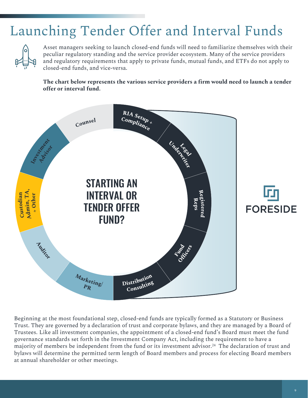### Launching Tender Offer and Interval Funds



Asset managers seeking to launch closed-end funds will need to familiarize themselves with their peculiar regulatory standing and the service provider ecosystem. Many of the service providers and regulatory requirements that apply to private funds, mutual funds, and ETFs do not apply to closed-end funds, and vice-versa.

**The chart below represents the various service providers a firm would need to launch a tender offer or interval fund.** 



Beginning at the most foundational step, closed-end funds are typically formed as a Statutory or Business Trust. They are governed by a declaration of trust and corporate bylaws, and they are managed by a Board of Trustees. Like all investment companies, the appointment of a closed-end fund's Board must meet the fund governance standards set forth in the Investment Company Act, including the requirement to have a majority of members be independent from the fund or its investment advisor.<sup>24</sup> The declaration of trust and bylaws will determine the permitted term length of Board members and process for electing Board members at annual shareholder or other meetings.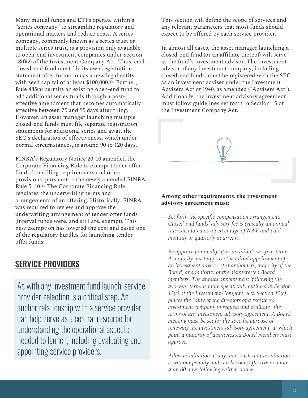Many mutual funds and ETFs operate within a "series company" to streamline regulatory and operational matters and reduce costs. A series company, commonly known as a series trust or multiple series trust, is a provision only available to open-end investment companies under Section  $18(f)(2)$  of the Investment Company Act. Thus, each closed-end fund must file its own registration statement after formation as a new legal entity with seed capital of at least \$100,000.<sup>25</sup> Further, Rule 485(a) permits an existing open-end fund to add additional series funds through a posteffective amendment that becomes automatically effective between 75 and 95 days after filing. However, an asset manager launching multiple closed-end funds must file separate registration statements for additional series and await the SEC's declaration of effectiveness, which under normal circumstances, is around 90 to 120 days.

FINRA's Regulatory Notice 20-10 amended the Corporate Financing Rule to exempt tender offer funds from filing requirements and other provisions, pursuant to the newly amended FINRA Rule 5110.<sup>26</sup> The Corporate Financing Rule regulates the underwriting terms and arrangements of an offering. Historically, FINRA was required to review and approve the underwriting arrangement of tender offer funds (interval funds were, and still are, exempt). This new exemption has lowered the cost and eased one of the regulatory hurdles for launching tender offer funds.

#### SERVICE PROVIDERS

As with any investment fund launch, service provider selection is a critical step. An anchor relationship with a service provider can help serve as a central resource for understanding the operational aspects needed to launch, including evaluating and appointing service providers.

This section will define the scope of services and any relevant parameters that most funds should expect to be offered by each service provider.

In almost all cases, the asset manager launching a closed-end fund (or an affiliate thereof) will serve as the fund's investment advisor. The investment advisor of any investment company, including closed-end funds, must be registered with the SEC as an investment adviser under the Investment Advisers Act of 1940, as amended ("Advisers Act"). Additionally, the investment advisory agreement must follow guidelines set forth in Section 15 of the Investment Company Act.



#### **Among other requirements, the investment advisory agreement must:**

- *Set forth the specific compensation arrangement. Closed-end funds' advisory fee is typically an annual rate calculated as a percentage of NAV and paid monthly or quarterly in arrears.*
- *Be approved annually after an initial two-year term. A majority must approve the initial appointment of an investment advisor of shareholders, majority of the Board, and majority of the disinterested Board members. The annual appointment (following the two-year term) is more specifically outlined in Section 15(c) of the Investment Company Act. Section 15(c) places the "duty of the directors of a registered investment company to request and evaluate" the terms of any investment advisory agreement. A Board meeting must be set for the specific purpose of renewing the investment advisory agreement, at which point a majority of disinterested Board members must approve.*
- *Allow termination at any time, such that termination is without penalty and can become effective no more than 60 days following written notice.*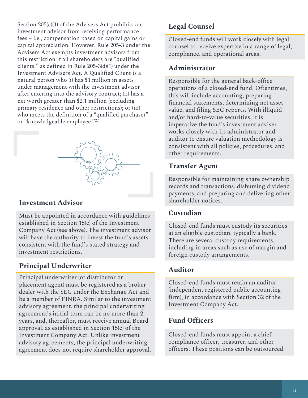Section 205(a)(1) of the Advisers Act prohibits an investment advisor from receiving performance fees – i.e., compensation based on capital gains or capital appreciation. However, Rule 205-3 under the Advisers Act exempts investment advisors from this restriction if all shareholders are "qualified clients," as defined in Rule 205-3(d)(1) under the Investment Advisers Act. A Qualified Client is a natural person who (i) has \$1 million in assets under management with the investment advisor after entering into the advisory contract; (ii) has a net worth greater than \$2.1 million (excluding primary residence and other restrictions); or (iii) who meets the definition of a "qualified purchaser" or "knowledgeable employee."27



#### **Investment Advisor**

Must be appointed in accordance with guidelines established in Section 15(c) of the Investment Company Act (see above). The investment advisor will have the authority to invest the fund's assets consistent with the fund's stated strategy and investment restrictions.

#### **Principal Underwriter**

Principal underwriter (or distributor or placement agent) must be registered as a brokerdealer with the SEC under the Exchange Act and be a member of FINRA. Similar to the investment advisory agreement, the principal underwriting agreement's initial term can be no more than 2 years, and, thereafter, must receive annual Board approval, as established in Section 15(c) of the Investment Company Act. Unlike investment advisory agreements, the principal underwriting agreement does not require shareholder approval.

#### **Legal Counsel**

Closed-end funds will work closely with legal counsel to receive expertise in a range of legal, compliance, and operational areas.

#### **Administrator**

Responsible for the general back-office operations of a closed-end fund. Oftentimes, this will include accounting, preparing financial statements, determining net asset value, and filing SEC reports. With illiquid and/or hard-to-value securities, it is imperative the fund's investment adviser works closely with its administrator and auditor to ensure valuation methodology is consistent with all policies, procedures, and other requirements.

#### **Transfer Agent**

Responsible for maintaining share ownership records and transactions, disbursing dividend payments, and preparing and delivering other shareholder notices.

#### **Custodian**

Closed-end funds must custody its securities at an eligible custodian, typically a bank. There are several custody requirements, including in areas such as use of margin and foreign custody arrangements.

#### **Auditor**

Closed-end funds must retain an auditor (independent registered public accounting firm), in accordance with Section 32 of the Investment Company Act.

#### **Fund Officers**

Closed-end funds must appoint a chief compliance officer, treasurer, and other officers. These positions can be outsourced.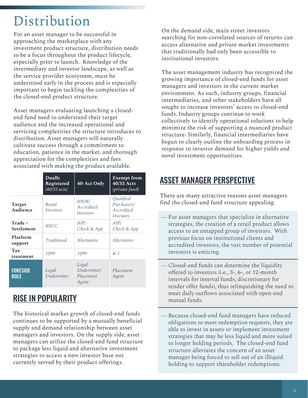### Distribution

For an asset manager to be successful in approaching the marketplace with any investment product structure, distribution needs to be a focus throughout the product lifecycle, especially prior to launch. Knowledge of the intermediary and investor landscape, as well as the service provider ecosystem, must be understood early in the process and is especially important to begin tackling the complexities of the closed-end product structure.

Asset managers evaluating launching a closedend fund need to understand their target audience and the increased operational and servicing complexities the structure introduces to distribution. Asset managers will naturally cultivate success through a commitment to education, patience in the market, and thorough appreciation for the complexities and fees associated with making the product available.

|                                | <b>Dually</b><br>Registered<br>$(40/33 \text{ acts})$ | 40-Act Only                                 | <b>Exempt from</b><br>40/33 Acts<br>(private fund)  |
|--------------------------------|-------------------------------------------------------|---------------------------------------------|-----------------------------------------------------|
| <b>Target</b><br>Audience      | Retail<br>Investors                                   | HNW/<br>Accredited<br>Investors             | Qualified<br>Purchasers/<br>Accredited<br>Investors |
| Trade +<br><b>Settlement</b>   | <b>NSCC</b>                                           | AIP/<br>Check & App                         | AIP/<br>Check & App                                 |
| Platform<br>support            | Traditional                                           | Alternative                                 | <i><u>Alternative</u></i>                           |
| <b>Tax</b><br>treatment        | 1099                                                  | 1099                                        | $K-1$                                               |
| <b>FORESIDE</b><br><b>ROLE</b> | Legal<br>Underwriter                                  | Legal<br>Underwriter/<br>Placement<br>Agent | Placement<br>Agent                                  |

#### RISE IN POPULARITY

The historical market growth of closed-end funds continues to be supported by a mutually beneficial supply and demand relationship between asset managers and investors. On the supply side, asset managers can utilize the closed-end fund structure to package less liquid and alternative investment strategies to access a new investor base not currently served by their product offerings.

On the demand side, main street investors searching for non-correlated sources of returns can access alternative and private market investments that traditionally had only been accessible to institutional investors.

The asset management industry has recognized the growing importance of closed-end funds for asset managers and investors in the current market environment. As such, industry groups, financial intermediaries, and other stakeholders have all sought to increase investors' access to closed-end funds. Industry groups continue to work collectively to identify operational solutions to help minimize the risk of supporting a nuanced product structure. Similarly, financial intermediaries have begun to clearly outline the onboarding process in response to investor demand for higher yields and novel investment opportunities.

### ASSET MANAGER PERSPECTIVE

There are many attractive reasons asset managers find the closed-end fund structure appealing.

- For asset managers that specialize in alternative strategies, the creation of a retail product allows access to an untapped group of investors. With previous focus on institutional clients and accredited investors, the vast number of potential investors is enticing.
- Closed-end funds can determine the liquidity offered to investors (i.e., 3-, 6-, or 12-month intervals for interval funds; discretionary for tender offer funds), thus relinquishing the need to meet daily outflows associated with open-end mutual funds.
- Because closed-end fund managers have reduced obligations to meet redemption requests, they are able to invest in assets or implement investment strategies that may be less liquid and more suited to longer holding periods. The closed-end fund structure alleviates the concern of an asset manager being forced to sell out of an illiquid holding to support shareholder redemptions.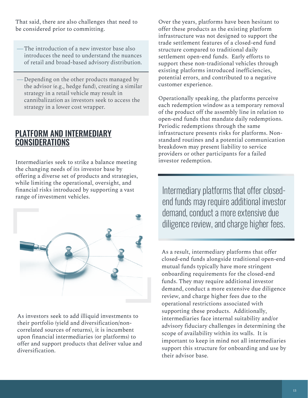That said, there are also challenges that need to be considered prior to committing.

- The introduction of a new investor base also introduces the need to understand the nuances of retail and broad-based advisory distribution.
- Depending on the other products managed by the advisor (e.g., hedge fund), creating a similar strategy in a retail vehicle may result in cannibalization as investors seek to access the strategy in a lower cost wrapper.

#### PLATFORM AND INTERMEDIARY **CONSIDERATIONS**

Intermediaries seek to strike a balance meeting the changing needs of its investor base by offering a diverse set of products and strategies, while limiting the operational, oversight, and financial risks introduced by supporting a vast range of investment vehicles.



As investors seek to add illiquid investments to their portfolio (yield and diversification/noncorrelated sources of returns), it is incumbent upon financial intermediaries (or platforms) to offer and support products that deliver value and diversification.

Over the years, platforms have been hesitant to offer these products as the existing platform infrastructure was not designed to support the trade settlement features of a closed-end fund structure compared to traditional daily settlement open-end funds. Early efforts to support these non-traditional vehicles through existing platforms introduced inefficiencies, potential errors, and contributed to a negative customer experience.

Operationally speaking, the platforms perceive each redemption window as a temporary removal of the product off the assembly line in relation to open-end funds that mandate daily redemptions. Periodic redemptions through the same infrastructure presents risks for platforms. Nonstandard routines and a potential communication breakdown may present liability to service providers or other participants for a failed investor redemption.

Intermediary platforms that offer closedend funds may require additional investor demand, conduct a more extensive due diligence review, and charge higher fees.

As a result, intermediary platforms that offer closed-end funds alongside traditional open-end mutual funds typically have more stringent onboarding requirements for the closed-end funds. They may require additional investor demand, conduct a more extensive due diligence review, and charge higher fees due to the operational restrictions associated with supporting these products. Additionally, intermediaries face internal suitability and/or advisory fiduciary challenges in determining the scope of availability within its walls. It is important to keep in mind not all intermediaries support this structure for onboarding and use by their advisor base.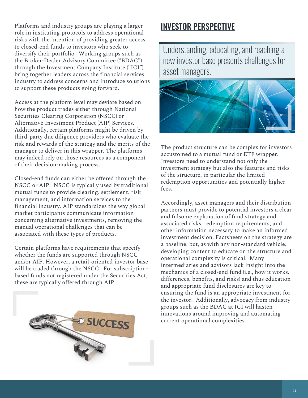Platforms and industry groups are playing a larger role in instituting protocols to address operational risks with the intention of providing greater access to closed-end funds to investors who seek to diversify their portfolio. Working groups such as the Broker-Dealer Advisory Committee ("BDAC") through the Investment Company Institute ("ICI") bring together leaders across the financial services industry to address concerns and introduce solutions to support these products going forward.

Access at the platform level may deviate based on how the product trades either through National Securities Clearing Corporation (NSCC) or Alternative Investment Product (AIP) Services. Additionally, certain platforms might be driven by third-party due diligence providers who evaluate the risk and rewards of the strategy and the merits of the manager to deliver in this wrapper. The platforms may indeed rely on those resources as a component of their decision-making process.

Closed-end funds can either be offered through the NSCC or AIP. NSCC is typically used by traditional mutual funds to provide clearing, settlement, risk management, and information services to the financial industry. AIP standardizes the way global market participants communicate information concerning alternative investments, removing the manual operational challenges that can be associated with these types of products.

Certain platforms have requirements that specify whether the funds are supported through NSCC and/or AIP. However, a retail-oriented investor base will be traded through the NSCC. For subscriptionbased funds not registered under the Securities Act, these are typically offered through AIP.



#### INVESTOR PERSPECTIVE

Understanding, educating, and reaching a new investor base presents challenges for asset managers.



The product structure can be complex for investors accustomed to a mutual fund or ETF wrapper. Investors need to understand not only the investment strategy but also the features and risks of the structure, in particular the limited redemption opportunities and potentially higher fees.

Accordingly, asset managers and their distribution partners must provide to potential investors a clear and fulsome explanation of fund strategy and associated risks, redemption requirements, and other information necessary to make an informed investment decision. Factsheets on the strategy are a baseline, but, as with any non-standard vehicle, developing content to educate on the structure and operational complexity is critical. Many intermediaries and advisors lack insight into the mechanics of a closed-end fund (i.e., how it works, differences, benefits, and risks) and thus education and appropriate fund disclosures are key to ensuring the fund is an appropriate investment for the investor. Additionally, advocacy from industry groups such as the BDAC at ICI will hasten innovations around improving and automating current operational complexities.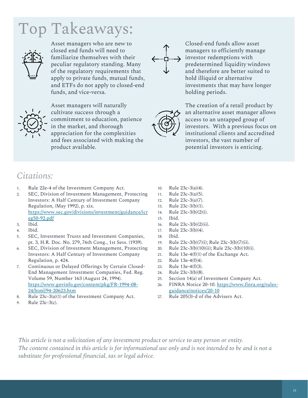# Top Takeaways:



Asset managers who are new to closed end funds will need to familiarize themselves with their peculiar regulatory standing. Many of the regulatory requirements that apply to private funds, mutual funds, and ETFs do not apply to closed-end funds, and vice-versa.



Asset managers will naturally cultivate success through a commitment to education, patience in the market, and thorough appreciation for the complexities and fees associated with making the product available.

Closed-end funds allow asset managers to efficiently manage investor redemptions with predetermined liquidity windows and therefore are better suited to hold illiquid or alternative investments that may have longer

holding periods. The creation of a retail product by an alternative asset manager allows access to an untapped group of investors. With a previous focus on institutional clients and accredited investors, the vast number of potential investors is enticing.

#### *Citations:*

- 1. Rule 22e-4 of the Investment Company Act.
- 2. SEC, Division of Investment Management, Protecting Investors: A Half Century of Investment Company Regulation, (May 1992), p. xix. [https://www.sec.gov/divisions/investment/guidance/icr](https://www.sec.gov/divisions/investment/guidance/icreg50-92.pdf) eg50-92.pdf
- 3. Ibid.
- 4. Ibid.
- 5. SEC, Investment Trusts and Investment Companies, pt. 3, H.R. Doc. No. 279, 76th Cong., 1st Sess. (1939).
- 6. SEC, Division of Investment Management, Protecting Investors: A Half Century of Investment Company Regulation, p. 424.
- 7. Continuous or Delayed Offerings by Certain Closed-End Management Investment Companies, Fed. Reg. Volume 59, Number 163 (August 24, 1994). [https://www.govinfo.gov/content/pkg/FR-1994-08-](https://www.govinfo.gov/content/pkg/FR-1994-08-24/html/94-20623.htm) 24/html/94-20623.htm
- 8. Rule 23c-3(a)(1) of the Investment Company Act.
- 9. Rule 23c-3(c).
- 10. Rule 23c-3(a)(4).
- 11. Rule 23c-3(a)(5).
- 12. Rule 23c-3(a)(7).
- 13. Rule 23c-3(b)(1).
- 14. Rule 23c-3(b)(2)(i).
- 15. Ibid.
- 16. Rule 23c-3(b)(2)(ii).
- 17. Rule 23c-3(b)(4).
- 18. Ibid.
- 19. Rule 23c-3(b)(7)(i); Rule 23c-3(b)(7)(ii).
- 20. Rule 23c-3(b)(10)(ii); Rule 23c-3(b)(10)(i).
- 21. Rule 13e-4(f)(1) of the Exchange Act.
- 22. Rule 13e-4(f)(4).
- 23. Rule 13e-4(f)(3).
- 24. Rule 23c-3(b)(8).
- 25. Section 14(a) of Investment Company Act.
- 26. [FINRA Notice 20-10. https://www.finra.org/rules](https://www.finra.org/rules-guidance/notices/20-10)guidance/notices/20-10
- 27. Rule 205(3)-d of the Advisers Act.

*This article is not a solicitation of any investment product or service to any person or entity. The content contained in this article is for informational use only and is not intended to be and is not a substitute for professional financial, tax or legal advice.*